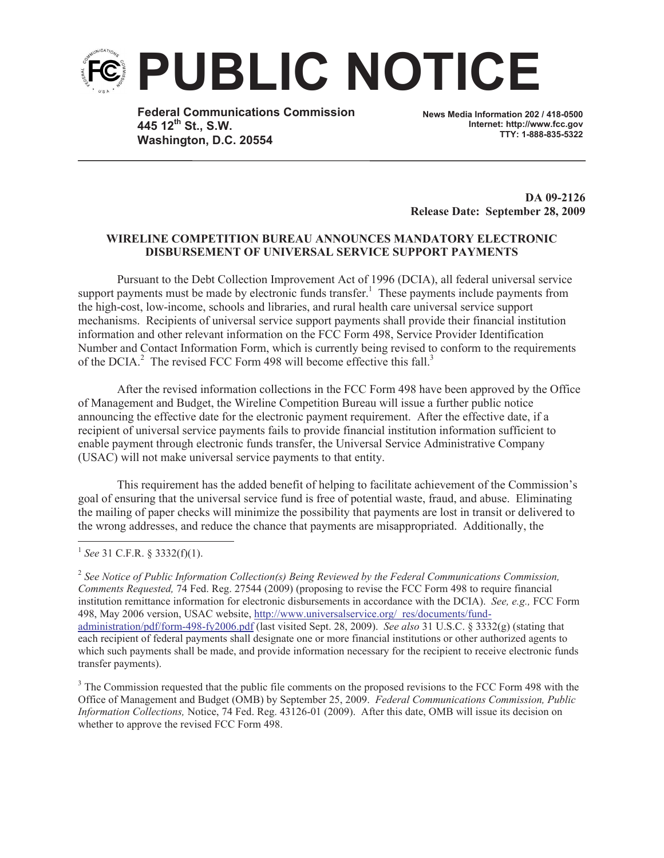

**Federal Communications Commission 445 12th St., S.W. Washington, D.C. 20554**

**News Media Information 202 / 418-0500 Internet: http://www.fcc.gov TTY: 1-888-835-5322**

**DA 09-2126 Release Date: September 28, 2009**

## **WIRELINE COMPETITION BUREAU ANNOUNCES MANDATORY ELECTRONIC DISBURSEMENT OF UNIVERSAL SERVICE SUPPORT PAYMENTS**

Pursuant to the Debt Collection Improvement Act of 1996 (DCIA), all federal universal service support payments must be made by electronic funds transfer.<sup>1</sup> These payments include payments from the high-cost, low-income, schools and libraries, and rural health care universal service support mechanisms. Recipients of universal service support payments shall provide their financial institution information and other relevant information on the FCC Form 498, Service Provider Identification Number and Contact Information Form, which is currently being revised to conform to the requirements of the DCIA.<sup>2</sup> The revised FCC Form 498 will become effective this fall.<sup>3</sup>

After the revised information collections in the FCC Form 498 have been approved by the Office of Management and Budget, the Wireline Competition Bureau will issue a further public notice announcing the effective date for the electronic payment requirement. After the effective date, if a recipient of universal service payments fails to provide financial institution information sufficient to enable payment through electronic funds transfer, the Universal Service Administrative Company (USAC) will not make universal service payments to that entity.

This requirement has the added benefit of helping to facilitate achievement of the Commission's goal of ensuring that the universal service fund is free of potential waste, fraud, and abuse. Eliminating the mailing of paper checks will minimize the possibility that payments are lost in transit or delivered to the wrong addresses, and reduce the chance that payments are misappropriated. Additionally, the

1 *See* 31 C.F.R. § 3332(f)(1).

2 *See Notice of Public Information Collection(s) Being Reviewed by the Federal Communications Commission, Comments Requested,* 74 Fed. Reg. 27544 (2009) (proposing to revise the FCC Form 498 to require financial institution remittance information for electronic disbursements in accordance with the DCIA). *See, e.g.,* FCC Form 498, May 2006 version, USAC website, http://www.universalservice.org/\_res/documents/fundadministration/pdf/form-498-fy2006.pdf (last visited Sept. 28, 2009). *See also* 31 U.S.C. § 3332(g) (stating that each recipient of federal payments shall designate one or more financial institutions or other authorized agents to which such payments shall be made, and provide information necessary for the recipient to receive electronic funds transfer payments).

<sup>3</sup> The Commission requested that the public file comments on the proposed revisions to the FCC Form 498 with the Office of Management and Budget (OMB) by September 25, 2009. *Federal Communications Commission, Public Information Collections,* Notice, 74 Fed. Reg. 43126-01 (2009). After this date, OMB will issue its decision on whether to approve the revised FCC Form 498.